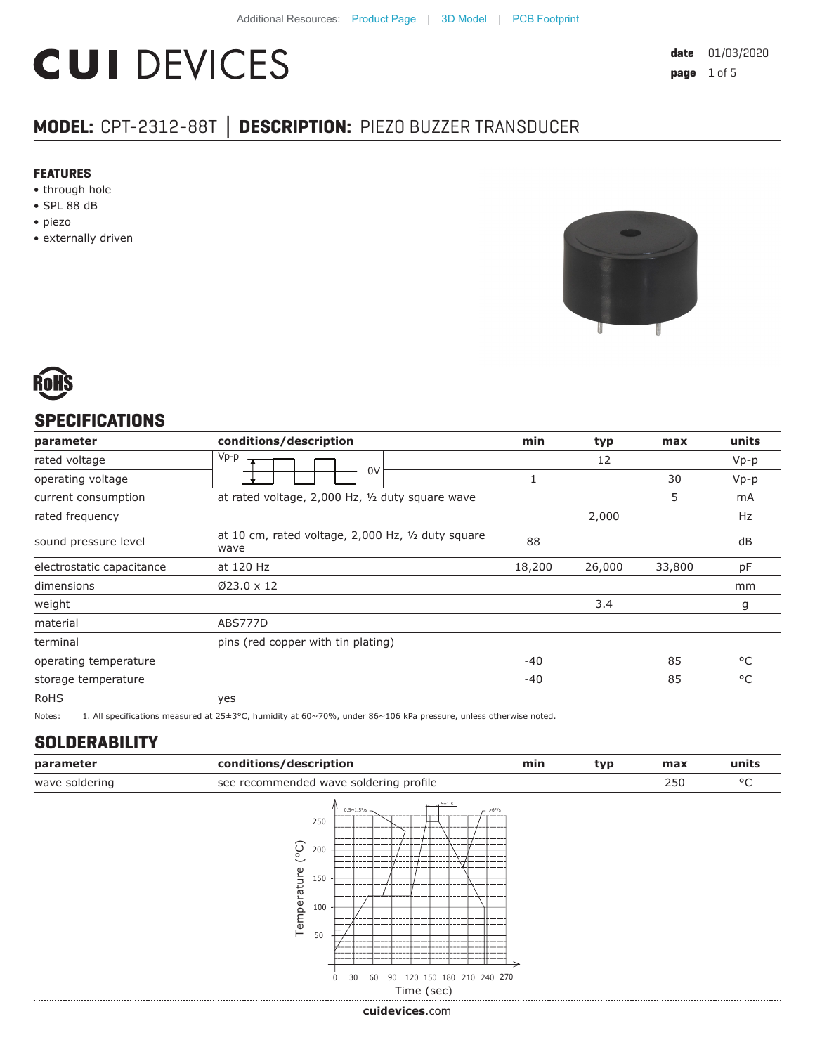# **CUI DEVICES**

**date** 01/03/2020 **page** 1 of 5

# **MODEL:** CPT-2312-88T **│ DESCRIPTION:** PIEZO BUZZER TRANSDUCER

#### **FEATURES**

- through hole
- SPL 88 dB
- piezo
- externally driven





#### **SPECIFICATIONS**

| parameter                 | conditions/description                                     | min    | typ    | max    | units  |
|---------------------------|------------------------------------------------------------|--------|--------|--------|--------|
| rated voltage             | $Vp-p$                                                     |        | 12     |        | $Vp-p$ |
| operating voltage         | 0V                                                         |        |        | 30     | $Vp-p$ |
| current consumption       | at rated voltage, 2,000 Hz, 1/2 duty square wave           |        |        | 5      | mA     |
| rated frequency           |                                                            |        | 2,000  |        | Hz     |
| sound pressure level      | at 10 cm, rated voltage, 2,000 Hz, 1/2 duty square<br>wave | 88     |        |        | dB     |
| electrostatic capacitance | at 120 Hz                                                  | 18,200 | 26,000 | 33,800 | pF     |
| dimensions                | $Ø23.0 \times 12$                                          |        |        |        | mm     |
| weight                    |                                                            |        | 3.4    |        | g      |
| material                  | ABS777D                                                    |        |        |        |        |
| terminal                  | pins (red copper with tin plating)                         |        |        |        |        |
| operating temperature     |                                                            | $-40$  |        | 85     | °C     |
| storage temperature       |                                                            | $-40$  |        | 85     | °C     |
| <b>RoHS</b>               | yes                                                        |        |        |        |        |

Notes: 1. All specifications measured at 25±3°C, humidity at 60~70%, under 86~106 kPa pressure, unless otherwise noted.

### **SOLDERABILITY**

| parameter      | conditions/description                               | min | tvp | max | units   |
|----------------|------------------------------------------------------|-----|-----|-----|---------|
| wave soldering | see recommended wave soldering profile               |     |     | 250 | $\circ$ |
|                | $-15+1s$<br>$0.5 - 1.5\% =$<br>$-56^{\circ}/s$<br>2F |     |     |     |         |



**cui[devices](https://www.cuidevices.com/track?actionLabel=Datasheet-ClickThrough-HomePage&label=CPT-2312-88T.pdf&path=/)**.com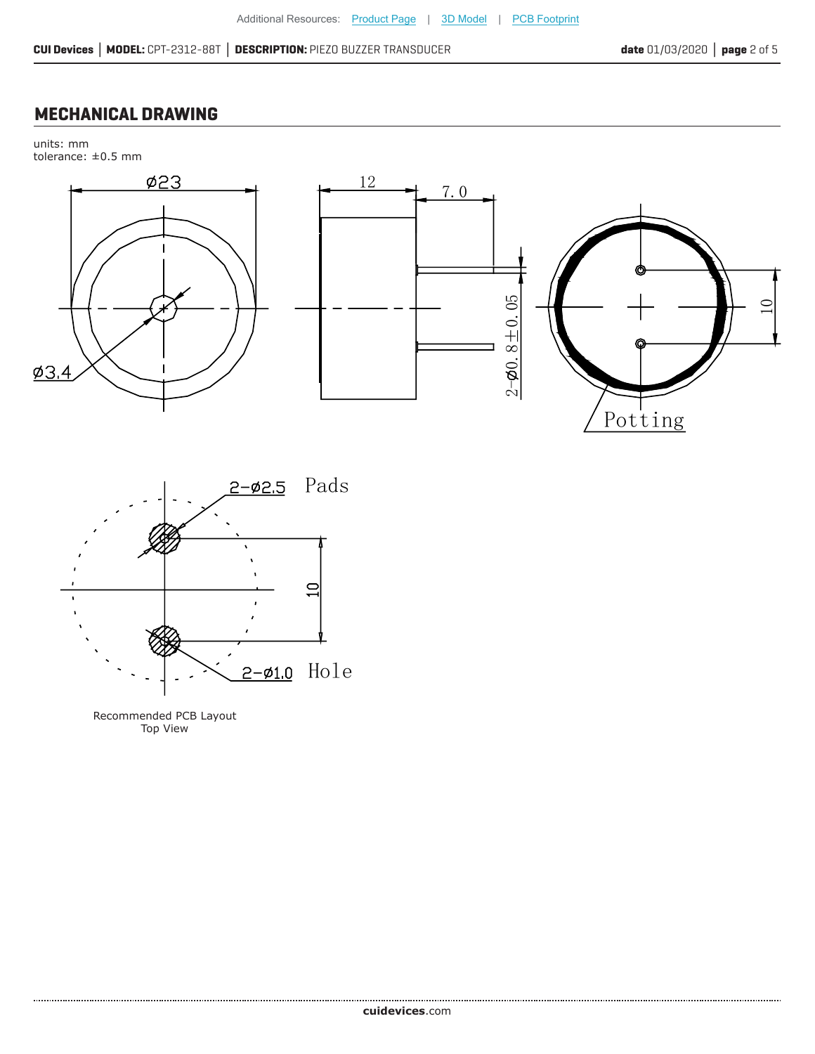#### **MECHANICAL DRAWING**

units: mm tolerance: ±0.5 mm





Recommended PCB Layout Top View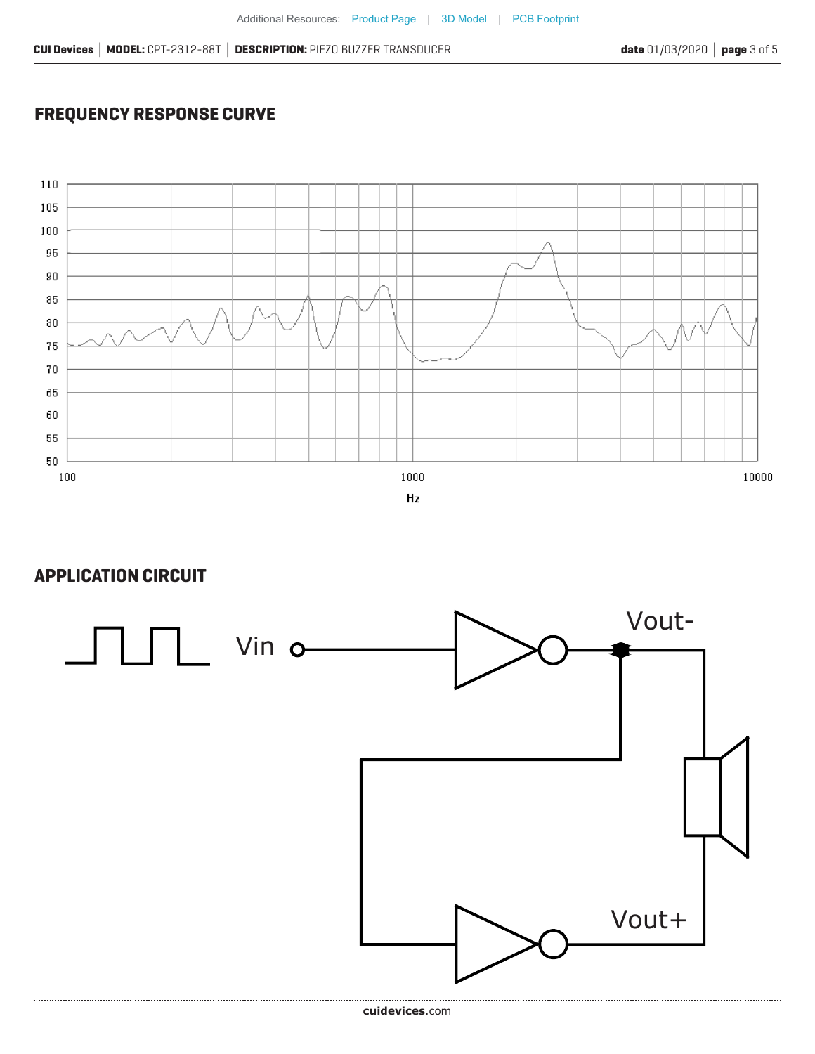## **FREQUENCY RESPONSE CURVE**



#### **APPLICATION CIRCUIT**

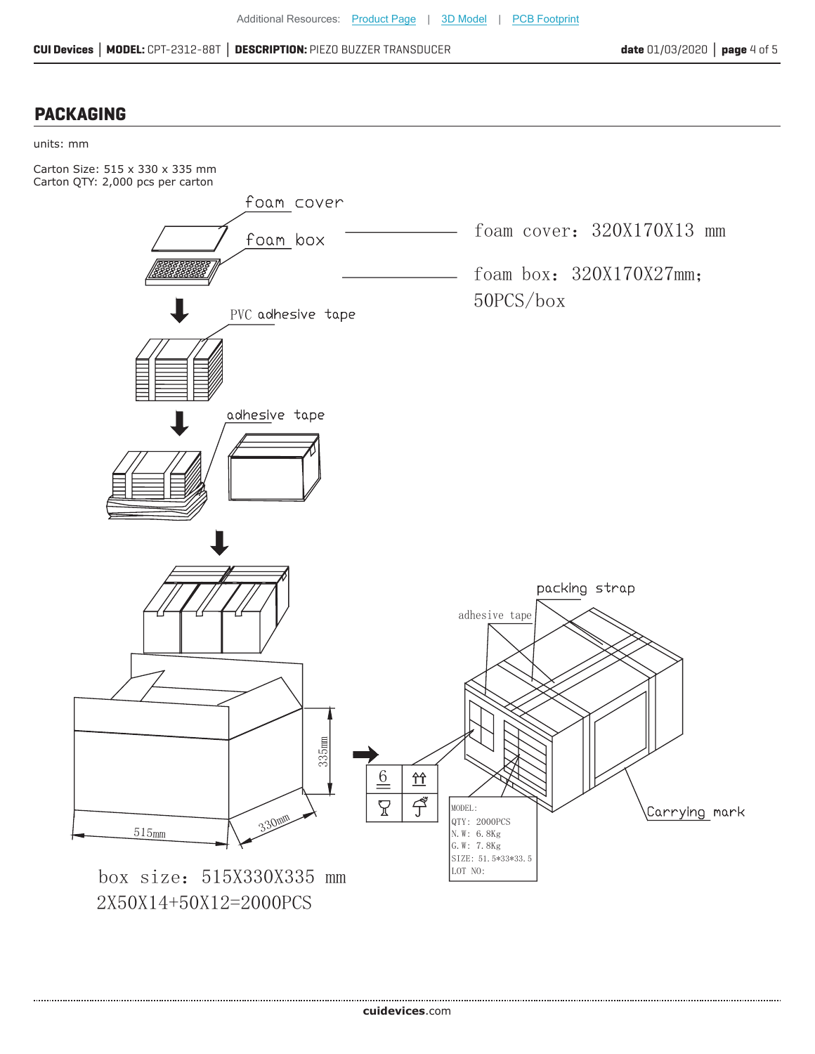#### **PACKAGING**



2X50X14+50X12=2000PCS